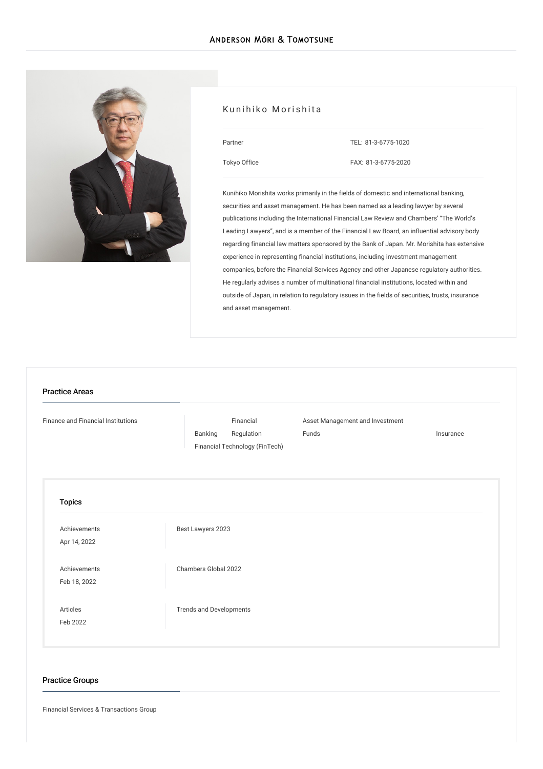

#### Kunihiko Morishita

| Partner      |  |
|--------------|--|
| Tokyo Office |  |

TEL: [81-3-6775-1020](tel:81-3-6775-1020)

FAX: 81-3-6775-2020

Kunihiko Morishita works primarily in the fields of domestic and international banking, securities and asset management. He has been named as a leading lawyer by several publications including the International Financial Law Review and Chambers' "The World's Leading Lawyers", and is a member of the Financial Law Board, an influential advisory body regarding financial law matters sponsored by the Bank of Japan. Mr. Morishita has extensive experience in representing financial institutions, including investment management companies, before the Financial Services Agency and other Japanese regulatory authorities. He regularly advises a number of multinational financial institutions, located within and outside of Japan, in relation to regulatory issues in the fields of securities, trusts, insurance and asset management.

# Finance and Financial [Institutions](/en/services/practices/finance-and-financial-institutions) [Banking](/en/services/practices/finance-and-financial-institutions/banking) Financial [Regulation](/en/services/practices/finance-and-financial-institutions/financial-regulation) Asset [Management](/en/services/practices/finance-and-financial-institutions/asset-management-and-investment-funds) and Investment Funds **[Insurance](/en/services/practices/finance-and-financial-institutions/insurance)** Financial [Technology](/en/services/practices/finance-and-financial-institutions/fintech) (FinTech) Topics [Achievements](/en/news/achievements/) Apr 14, 2022 Best [Lawyers](/en/news/detail/news_0024840_en_001) 2023 [Achievements](/en/news/achievements/) Feb 18, 2022 [Chambers](/en/news/detail/news_0024399_en_001) Global 2022 [Articles](/en/publications/articles/) Feb 2022 Trends and [Developments](/en/publications/detail/publication_0025050_en_001) Practice Areas

## Practice Groups

Financial Services & Transactions Group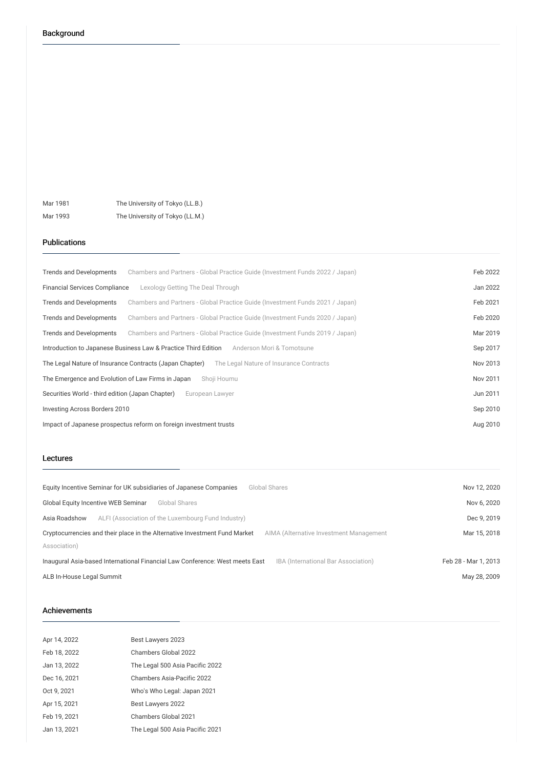Mar 1981 The University of Tokyo (LL.B.) Mar 1993 The University of Tokyo (LL.M.)

#### Publications

| <b>Trends and Developments</b>                                            | Chambers and Partners - Global Practice Guide (Investment Funds 2022 / Japan) | Feb 2022 |
|---------------------------------------------------------------------------|-------------------------------------------------------------------------------|----------|
| <b>Financial Services Compliance</b><br>Lexology Getting The Deal Through |                                                                               | Jan 2022 |
| Trends and Developments                                                   | Chambers and Partners - Global Practice Guide (Investment Funds 2021 / Japan) | Feb 2021 |
| <b>Trends and Developments</b>                                            | Chambers and Partners - Global Practice Guide (Investment Funds 2020 / Japan) | Feb 2020 |
| <b>Trends and Developments</b>                                            | Chambers and Partners - Global Practice Guide (Investment Funds 2019 / Japan) | Mar 2019 |
| Introduction to Japanese Business Law & Practice Third Edition            | Anderson Mori & Tomotsune                                                     | Sep 2017 |
| The Legal Nature of Insurance Contracts (Japan Chapter)                   | The Legal Nature of Insurance Contracts                                       | Nov 2013 |
| The Emergence and Evolution of Law Firms in Japan                         | Shoji Houmu                                                                   | Nov 2011 |
| Securities World - third edition (Japan Chapter)<br>European Lawver       |                                                                               | Jun 2011 |
| Investing Across Borders 2010                                             |                                                                               | Sep 2010 |
| Impact of Japanese prospectus reform on foreign investment trusts         |                                                                               | Aug 2010 |

#### Lectures

| Equity Incentive Seminar for UK subsidiaries of Japanese Companies<br>Global Shares                                   | Nov 12, 2020         |
|-----------------------------------------------------------------------------------------------------------------------|----------------------|
| Global Equity Incentive WEB Seminar<br>Global Shares                                                                  | Nov 6, 2020          |
| ALFI (Association of the Luxembourg Fund Industry)<br>Asia Roadshow                                                   | Dec 9, 2019          |
| Cryptocurrencies and their place in the Alternative Investment Fund Market<br>AIMA (Alternative Investment Management | Mar 15, 2018         |
| Association)                                                                                                          |                      |
| IBA (International Bar Association)<br>Inaugural Asia-based International Financial Law Conference: West meets East   | Feb 28 - Mar 1, 2013 |
| ALB In-House Legal Summit                                                                                             | May 28, 2009         |

### Achievements

| Apr 14, 2022 | Best Lawyers 2023               |
|--------------|---------------------------------|
| Feb 18, 2022 | Chambers Global 2022            |
| Jan 13, 2022 | The Legal 500 Asia Pacific 2022 |
| Dec 16, 2021 | Chambers Asia-Pacific 2022      |
| Oct 9, 2021  | Who's Who Legal: Japan 2021     |
| Apr 15, 2021 | Best Lawyers 2022               |
| Feb 19, 2021 | Chambers Global 2021            |
| Jan 13, 2021 | The Legal 500 Asia Pacific 2021 |